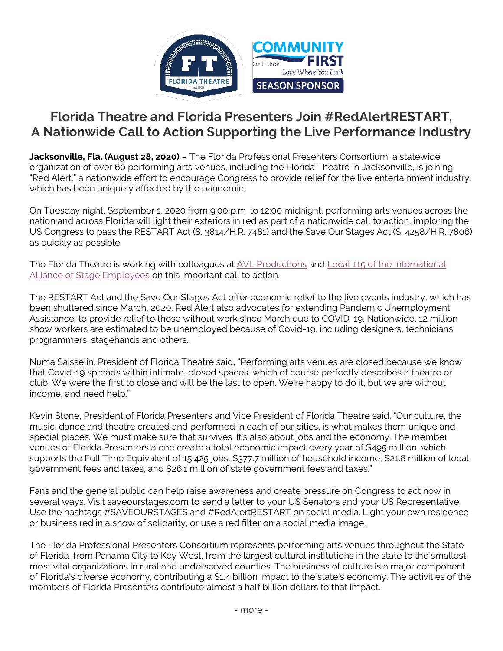

## **Florida Theatre and Florida Presenters Join #RedAlertRESTART, A Nationwide Call to Action Supporting the Live Performance Industry**

**Jacksonville, Fla. (August 28, 2020)** – The Florida Professional Presenters Consortium, a statewide organization of over 60 performing arts venues, including the Florida Theatre in Jacksonville, is joining "Red Alert," a nationwide effort to encourage Congress to provide relief for the live entertainment industry, which has been uniquely affected by the pandemic.

On Tuesday night, September 1, 2020 from 9:00 p.m. to 12:00 midnight, performing arts venues across the nation and across Florida will light their exteriors in red as part of a nationwide call to action, imploring the US Congress to pass the RESTART Act (S. 3814/H.R. 7481) and the Save Our Stages Act (S. 4258/H.R. 7806) as quickly as possible.

The Florida Theatre is working with colleagues at [AVL Productions](https://avlproductions.com/) and [Local 115 of the International](http://www.iatse-115.com/)  [Alliance of Stage Employees](http://www.iatse-115.com/) on this important call to action.

The RESTART Act and the Save Our Stages Act offer economic relief to the live events industry, which has been shuttered since March, 2020. Red Alert also advocates for extending Pandemic Unemployment Assistance, to provide relief to those without work since March due to COVID-19. Nationwide, 12 million show workers are estimated to be unemployed because of Covid-19, including designers, technicians, programmers, stagehands and others.

Numa Saisselin, President of Florida Theatre said, "Performing arts venues are closed because we know that Covid-19 spreads within intimate, closed spaces, which of course perfectly describes a theatre or club. We were the first to close and will be the last to open. We're happy to do it, but we are without income, and need help."

Kevin Stone, President of Florida Presenters and Vice President of Florida Theatre said, "Our culture, the music, dance and theatre created and performed in each of our cities, is what makes them unique and special places. We must make sure that survives. It's also about jobs and the economy. The member venues of Florida Presenters alone create a total economic impact every year of \$495 million, which supports the Full Time Equivalent of 15,425 jobs, \$377.7 million of household income, \$21.8 million of local government fees and taxes, and \$26.1 million of state government fees and taxes."

Fans and the general public can help raise awareness and create pressure on Congress to act now in several ways. Visit saveourstages.com to send a letter to your US Senators and your US Representative. Use the hashtags #SAVEOURSTAGES and #RedAlertRESTART on social media. Light your own residence or business red in a show of solidarity, or use a red filter on a social media image.

The Florida Professional Presenters Consortium represents performing arts venues throughout the State of Florida, from Panama City to Key West, from the largest cultural institutions in the state to the smallest, most vital organizations in rural and underserved counties. The business of culture is a major component of Florida's diverse economy, contributing a \$1.4 billion impact to the state's economy. The activities of the members of Florida Presenters contribute almost a half billion dollars to that impact.